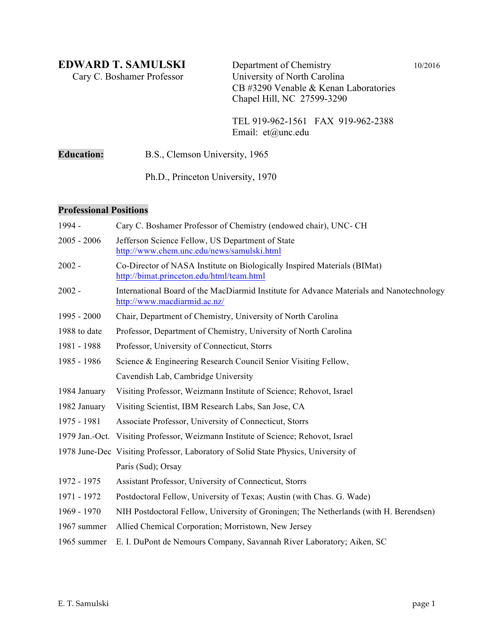Cary C. Boshamer Professor

**EDWARD T. SAMULSKI** Department of Chemistry 10/2016<br>Cary C. Boshamer Professor University of North Carolina CB #3290 Venable & Kenan Laboratories Chapel Hill, NC 27599-3290

> TEL 919-962-1561 FAX 919-962-2388 Email: et@unc.edu

**Education:** B.S., Clemson University, 1965

Ph.D., Princeton University, 1970

#### **Professional Positions**

| 1994 -                                                                        | Cary C. Boshamer Professor of Chemistry (endowed chair), UNC- CH                                                         |  |  |  |  |  |  |
|-------------------------------------------------------------------------------|--------------------------------------------------------------------------------------------------------------------------|--|--|--|--|--|--|
| $2005 - 2006$                                                                 | Jefferson Science Fellow, US Department of State<br>http://www.chem.unc.edu/news/samulski.html                           |  |  |  |  |  |  |
| $2002 -$                                                                      | Co-Director of NASA Institute on Biologically Inspired Materials (BIMat)<br>http://bimat.princeton.edu/html/team.html    |  |  |  |  |  |  |
| $2002 -$                                                                      | International Board of the MacDiarmid Institute for Advance Materials and Nanotechnology<br>http://www.macdiarmid.ac.nz/ |  |  |  |  |  |  |
| 1995 - 2000                                                                   | Chair, Department of Chemistry, University of North Carolina                                                             |  |  |  |  |  |  |
| 1988 to date                                                                  | Professor, Department of Chemistry, University of North Carolina                                                         |  |  |  |  |  |  |
| 1981 - 1988                                                                   | Professor, University of Connecticut, Storrs                                                                             |  |  |  |  |  |  |
| 1985 - 1986<br>Science & Engineering Research Council Senior Visiting Fellow, |                                                                                                                          |  |  |  |  |  |  |
|                                                                               | Cavendish Lab, Cambridge University                                                                                      |  |  |  |  |  |  |
| 1984 January                                                                  | Visiting Professor, Weizmann Institute of Science; Rehovot, Israel                                                       |  |  |  |  |  |  |
| 1982 January                                                                  | Visiting Scientist, IBM Research Labs, San Jose, CA                                                                      |  |  |  |  |  |  |
| 1975 - 1981                                                                   | Associate Professor, University of Connecticut, Storrs                                                                   |  |  |  |  |  |  |
|                                                                               | 1979 Jan.-Oct. Visiting Professor, Weizmann Institute of Science; Rehovot, Israel                                        |  |  |  |  |  |  |
|                                                                               | 1978 June-Dec Visiting Professor, Laboratory of Solid State Physics, University of                                       |  |  |  |  |  |  |
|                                                                               | Paris (Sud); Orsay                                                                                                       |  |  |  |  |  |  |
| 1972 - 1975                                                                   | Assistant Professor, University of Connecticut, Storrs                                                                   |  |  |  |  |  |  |
| 1971 - 1972                                                                   | Postdoctoral Fellow, University of Texas; Austin (with Chas. G. Wade)                                                    |  |  |  |  |  |  |
| 1969 - 1970                                                                   | NIH Postdoctoral Fellow, University of Groningen; The Netherlands (with H. Berendsen)                                    |  |  |  |  |  |  |
| 1967 summer                                                                   | Allied Chemical Corporation; Morristown, New Jersey                                                                      |  |  |  |  |  |  |
| 1965 summer                                                                   | E. I. DuPont de Nemours Company, Savannah River Laboratory; Aiken, SC                                                    |  |  |  |  |  |  |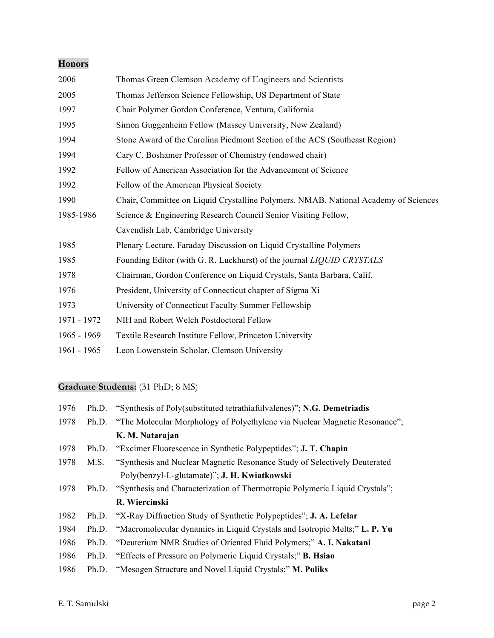### **Honors**

| 2006        | Thomas Green Clemson Academy of Engineers and Scientists                            |  |  |  |  |  |
|-------------|-------------------------------------------------------------------------------------|--|--|--|--|--|
| 2005        | Thomas Jefferson Science Fellowship, US Department of State                         |  |  |  |  |  |
| 1997        | Chair Polymer Gordon Conference, Ventura, California                                |  |  |  |  |  |
| 1995        | Simon Guggenheim Fellow (Massey University, New Zealand)                            |  |  |  |  |  |
| 1994        | Stone Award of the Carolina Piedmont Section of the ACS (Southeast Region)          |  |  |  |  |  |
| 1994        | Cary C. Boshamer Professor of Chemistry (endowed chair)                             |  |  |  |  |  |
| 1992        | Fellow of American Association for the Advancement of Science                       |  |  |  |  |  |
| 1992        | Fellow of the American Physical Society                                             |  |  |  |  |  |
| 1990        | Chair, Committee on Liquid Crystalline Polymers, NMAB, National Academy of Sciences |  |  |  |  |  |
| 1985-1986   | Science & Engineering Research Council Senior Visiting Fellow,                      |  |  |  |  |  |
|             | Cavendish Lab, Cambridge University                                                 |  |  |  |  |  |
| 1985        | Plenary Lecture, Faraday Discussion on Liquid Crystalline Polymers                  |  |  |  |  |  |
| 1985        | Founding Editor (with G. R. Luckhurst) of the journal LIQUID CRYSTALS               |  |  |  |  |  |
| 1978        | Chairman, Gordon Conference on Liquid Crystals, Santa Barbara, Calif.               |  |  |  |  |  |
| 1976        | President, University of Connecticut chapter of Sigma Xi                            |  |  |  |  |  |
| 1973        | University of Connecticut Faculty Summer Fellowship                                 |  |  |  |  |  |
| 1971 - 1972 | NIH and Robert Welch Postdoctoral Fellow                                            |  |  |  |  |  |
| 1965 - 1969 | Textile Research Institute Fellow, Princeton University                             |  |  |  |  |  |
| 1961 - 1965 | Leon Lowenstein Scholar, Clemson University                                         |  |  |  |  |  |

# **Graduate Students:** (31 PhD; 8 MS)

| 1976 | Ph.D. | "Synthesis of Poly(substituted tetrathiafulvalenes)"; N.G. Demetriadis          |  |  |  |  |
|------|-------|---------------------------------------------------------------------------------|--|--|--|--|
| 1978 | Ph.D. | "The Molecular Morphology of Polyethylene via Nuclear Magnetic Resonance";      |  |  |  |  |
|      |       | K. M. Natarajan                                                                 |  |  |  |  |
| 1978 | Ph.D. | "Excimer Fluorescence in Synthetic Polypeptides"; <b>J. T. Chapin</b>           |  |  |  |  |
| 1978 | M.S.  | "Synthesis and Nuclear Magnetic Resonance Study of Selectively Deuterated       |  |  |  |  |
|      |       | Poly(benzyl-L-glutamate)"; J. H. Kwiatkowski                                    |  |  |  |  |
| 1978 | Ph.D. | "Synthesis and Characterization of Thermotropic Polymeric Liquid Crystals";     |  |  |  |  |
|      |       | R. Wiercinski                                                                   |  |  |  |  |
| 1982 |       | Ph.D. "X-Ray Diffraction Study of Synthetic Polypeptides"; <b>J. A. Lefelar</b> |  |  |  |  |
| 1984 | Ph.D. | "Macromolecular dynamics in Liquid Crystals and Isotropic Melts;" L. P. Yu      |  |  |  |  |
| 1986 | Ph.D. | "Deuterium NMR Studies of Oriented Fluid Polymers;" A. I. Nakatani              |  |  |  |  |
| 1986 | Ph.D. | "Effects of Pressure on Polymeric Liquid Crystals;" <b>B. Hsiao</b>             |  |  |  |  |
| 1986 | Ph.D. | "Mesogen Structure and Novel Liquid Crystals;" <b>M. Poliks</b>                 |  |  |  |  |
|      |       |                                                                                 |  |  |  |  |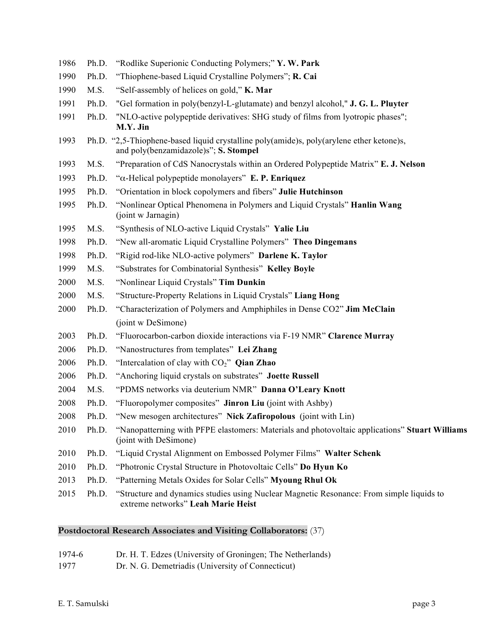| 1986 | Ph.D. | "Rodlike Superionic Conducting Polymers;" Y. W. Park                                                                              |
|------|-------|-----------------------------------------------------------------------------------------------------------------------------------|
| 1990 | Ph.D. | "Thiophene-based Liquid Crystalline Polymers"; R. Cai                                                                             |
| 1990 | M.S.  | "Self-assembly of helices on gold," K. Mar                                                                                        |
| 1991 | Ph.D. | "Gel formation in poly(benzyl-L-glutamate) and benzyl alcohol," J. G. L. Pluyter                                                  |
| 1991 | Ph.D. | "NLO-active polypeptide derivatives: SHG study of films from lyotropic phases";<br>M.Y. Jin                                       |
| 1993 |       | Ph.D. "2,5-Thiophene-based liquid crystalline poly(amide)s, poly(arylene ether ketone)s,<br>and poly(benzamidazole)s"; S. Stompel |
| 1993 | M.S.  | "Preparation of CdS Nanocrystals within an Ordered Polypeptide Matrix" E. J. Nelson                                               |
| 1993 | Ph.D. | "α-Helical polypeptide monolayers" E. P. Enriquez                                                                                 |
| 1995 | Ph.D. | "Orientation in block copolymers and fibers" Julie Hutchinson                                                                     |
| 1995 | Ph.D. | "Nonlinear Optical Phenomena in Polymers and Liquid Crystals" Hanlin Wang<br>(joint w Jarnagin)                                   |
| 1995 | M.S.  | "Synthesis of NLO-active Liquid Crystals" Yalie Liu                                                                               |
| 1998 | Ph.D. | "New all-aromatic Liquid Crystalline Polymers" Theo Dingemans                                                                     |
| 1998 | Ph.D. | "Rigid rod-like NLO-active polymers" Darlene K. Taylor                                                                            |
| 1999 | M.S.  | "Substrates for Combinatorial Synthesis" Kelley Boyle                                                                             |
| 2000 | M.S.  | "Nonlinear Liquid Crystals" Tim Dunkin                                                                                            |
| 2000 | M.S.  | "Structure-Property Relations in Liquid Crystals" Liang Hong                                                                      |
| 2000 | Ph.D. | "Characterization of Polymers and Amphiphiles in Dense CO2" Jim McClain                                                           |
|      |       | (joint w DeSimone)                                                                                                                |
| 2003 | Ph.D. | "Fluorocarbon-carbon dioxide interactions via F-19 NMR" Clarence Murray                                                           |
| 2006 | Ph.D. | "Nanostructures from templates" Lei Zhang                                                                                         |
| 2006 | Ph.D. | "Intercalation of clay with $CO2$ " Qian Zhao                                                                                     |
| 2006 | Ph.D. | "Anchoring liquid crystals on substrates" Joette Russell                                                                          |
| 2004 | M.S.  | "PDMS networks via deuterium NMR" Danna O'Leary Knott                                                                             |
| 2008 | Ph.D. | "Fluoropolymer composites" <b>Jinron Liu</b> (joint with Ashby)                                                                   |
| 2008 | Ph.D. | "New mesogen architectures" Nick Zafiropolous (joint with Lin)                                                                    |
| 2010 | Ph.D. | "Nanopatterning with PFPE elastomers: Materials and photovoltaic applications" Stuart Williams<br>(joint with DeSimone)           |
| 2010 | Ph.D. | "Liquid Crystal Alignment on Embossed Polymer Films" Walter Schenk                                                                |
| 2010 | Ph.D. | "Photronic Crystal Structure in Photovoltaic Cells" Do Hyun Ko                                                                    |
| 2013 | Ph.D. | "Patterning Metals Oxides for Solar Cells" Myoung Rhul Ok                                                                         |
| 2015 | Ph.D. | "Structure and dynamics studies using Nuclear Magnetic Resonance: From simple liquids to<br>extreme networks" Leah Marie Heist    |

## **Postdoctoral Research Associates and Visiting Collaborators:** (37)

#### 1974-6 Dr. H. T. Edzes (University of Groningen; The Netherlands)

Dr. N. G. Demetriadis (University of Connecticut)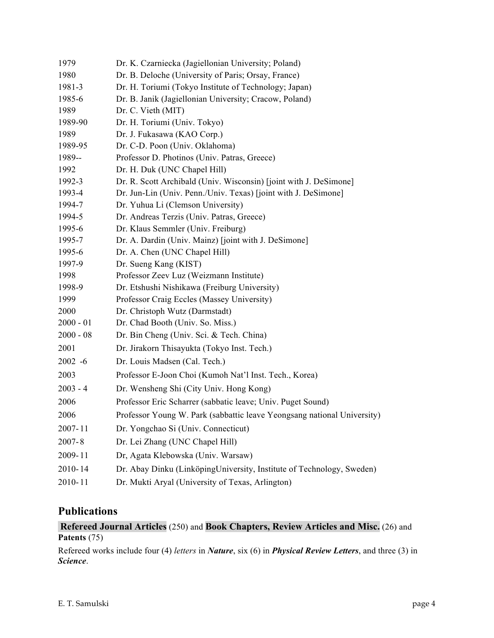| 1979        | Dr. K. Czarniecka (Jagiellonian University; Poland)                     |  |  |  |  |  |
|-------------|-------------------------------------------------------------------------|--|--|--|--|--|
| 1980        | Dr. B. Deloche (University of Paris; Orsay, France)                     |  |  |  |  |  |
| 1981-3      | Dr. H. Toriumi (Tokyo Institute of Technology; Japan)                   |  |  |  |  |  |
| 1985-6      | Dr. B. Janik (Jagiellonian University; Cracow, Poland)                  |  |  |  |  |  |
| 1989        | Dr. C. Vieth (MIT)                                                      |  |  |  |  |  |
| 1989-90     | Dr. H. Toriumi (Univ. Tokyo)                                            |  |  |  |  |  |
| 1989        | Dr. J. Fukasawa (KAO Corp.)                                             |  |  |  |  |  |
| 1989-95     | Dr. C-D. Poon (Univ. Oklahoma)                                          |  |  |  |  |  |
| 1989--      | Professor D. Photinos (Univ. Patras, Greece)                            |  |  |  |  |  |
| 1992        | Dr. H. Duk (UNC Chapel Hill)                                            |  |  |  |  |  |
| 1992-3      | Dr. R. Scott Archibald (Univ. Wisconsin) [joint with J. DeSimone]       |  |  |  |  |  |
| 1993-4      | Dr. Jun-Lin (Univ. Penn./Univ. Texas) [joint with J. DeSimone]          |  |  |  |  |  |
| 1994-7      | Dr. Yuhua Li (Clemson University)                                       |  |  |  |  |  |
| 1994-5      | Dr. Andreas Terzis (Univ. Patras, Greece)                               |  |  |  |  |  |
| 1995-6      | Dr. Klaus Semmler (Univ. Freiburg)                                      |  |  |  |  |  |
| 1995-7      | Dr. A. Dardin (Univ. Mainz) [joint with J. DeSimone]                    |  |  |  |  |  |
| 1995-6      | Dr. A. Chen (UNC Chapel Hill)                                           |  |  |  |  |  |
| 1997-9      | Dr. Sueng Kang (KIST)                                                   |  |  |  |  |  |
| 1998        | Professor Zeev Luz (Weizmann Institute)                                 |  |  |  |  |  |
| 1998-9      | Dr. Etshushi Nishikawa (Freiburg University)                            |  |  |  |  |  |
| 1999        | Professor Craig Eccles (Massey University)                              |  |  |  |  |  |
| 2000        | Dr. Christoph Wutz (Darmstadt)                                          |  |  |  |  |  |
| $2000 - 01$ | Dr. Chad Booth (Univ. So. Miss.)                                        |  |  |  |  |  |
| $2000 - 08$ | Dr. Bin Cheng (Univ. Sci. & Tech. China)                                |  |  |  |  |  |
| 2001        | Dr. Jirakorn Thisayukta (Tokyo Inst. Tech.)                             |  |  |  |  |  |
| $2002 - 6$  | Dr. Louis Madsen (Cal. Tech.)                                           |  |  |  |  |  |
| 2003        | Professor E-Joon Choi (Kumoh Nat'l Inst. Tech., Korea)                  |  |  |  |  |  |
| $2003 - 4$  | Dr. Wensheng Shi (City Univ. Hong Kong)                                 |  |  |  |  |  |
| 2006        | Professor Eric Scharrer (sabbatic leave; Univ. Puget Sound)             |  |  |  |  |  |
| 2006        | Professor Young W. Park (sabbattic leave Yeongsang national University) |  |  |  |  |  |
| 2007-11     | Dr. Yongchao Si (Univ. Connecticut)                                     |  |  |  |  |  |
| $2007 - 8$  | Dr. Lei Zhang (UNC Chapel Hill)                                         |  |  |  |  |  |
| 2009-11     | Dr, Agata Klebowska (Univ. Warsaw)                                      |  |  |  |  |  |
| 2010-14     | Dr. Abay Dinku (LinköpingUniversity, Institute of Technology, Sweden)   |  |  |  |  |  |
| 2010-11     | Dr. Mukti Aryal (University of Texas, Arlington)                        |  |  |  |  |  |

# **Publications**

#### **Refereed Journal Articles** (250) and **Book Chapters, Review Articles and Misc.** (26) and **Patents** (75)

Refereed works include four (4) *letters* in *Nature*, six (6) in *Physical Review Letters*, and three (3) in *Science*.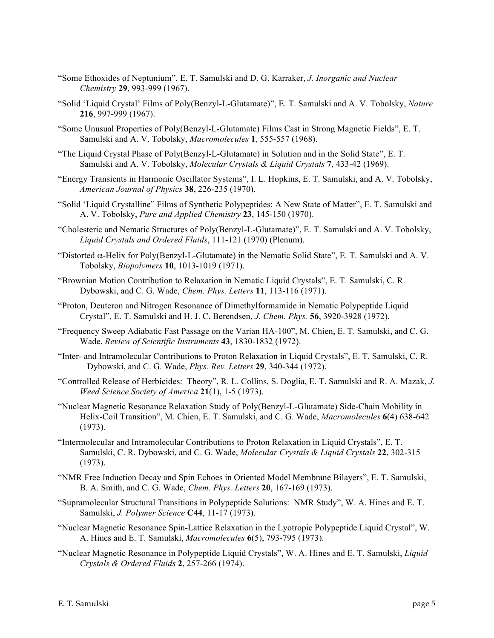- "Some Ethoxides of Neptunium", E. T. Samulski and D. G. Karraker, *J. Inorganic and Nuclear Chemistry* **29**, 993-999 (1967).
- "Solid 'Liquid Crystal' Films of Poly(Benzyl-L-Glutamate)", E. T. Samulski and A. V. Tobolsky, *Nature* **216**, 997-999 (1967).
- "Some Unusual Properties of Poly(Benzyl-L-Glutamate) Films Cast in Strong Magnetic Fields", E. T. Samulski and A. V. Tobolsky, *Macromolecules* **1**, 555-557 (1968).
- "The Liquid Crystal Phase of Poly(Benzyl-L-Glutamate) in Solution and in the Solid State", E. T. Samulski and A. V. Tobolsky, *Molecular Crystals & Liquid Crystals* **7**, 433-42 (1969).
- "Energy Transients in Harmonic Oscillator Systems", I. L. Hopkins, E. T. Samulski, and A. V. Tobolsky, *American Journal of Physics* **38**, 226-235 (1970).
- "Solid 'Liquid Crystalline" Films of Synthetic Polypeptides: A New State of Matter", E. T. Samulski and A. V. Tobolsky, *Pure and Applied Chemistry* **23**, 145-150 (1970).
- "Cholesteric and Nematic Structures of Poly(Benzyl-L-Glutamate)", E. T. Samulski and A. V. Tobolsky, *Liquid Crystals and Ordered Fluids*, 111-121 (1970) (Plenum).
- "Distorted α-Helix for Poly(Benzyl-L-Glutamate) in the Nematic Solid State", E. T. Samulski and A. V. Tobolsky, *Biopolymers* **10**, 1013-1019 (1971).
- "Brownian Motion Contribution to Relaxation in Nematic Liquid Crystals", E. T. Samulski, C. R. Dybowski, and C. G. Wade, *Chem. Phys. Letters* **11**, 113-116 (1971).
- "Proton, Deuteron and Nitrogen Resonance of Dimethylformamide in Nematic Polypeptide Liquid Crystal", E. T. Samulski and H. J. C. Berendsen, *J. Chem. Phys.* **56**, 3920-3928 (1972).
- "Frequency Sweep Adiabatic Fast Passage on the Varian HA-100", M. Chien, E. T. Samulski, and C. G. Wade, *Review of Scientific Instruments* **43**, 1830-1832 (1972).
- "Inter- and Intramolecular Contributions to Proton Relaxation in Liquid Crystals", E. T. Samulski, C. R. Dybowski, and C. G. Wade, *Phys. Rev. Letters* **29**, 340-344 (1972).
- "Controlled Release of Herbicides: Theory", R. L. Collins, S. Doglia, E. T. Samulski and R. A. Mazak, *J. Weed Science Society of America* **21**(1), 1-5 (1973).
- "Nuclear Magnetic Resonance Relaxation Study of Poly(Benzyl-L-Glutamate) Side-Chain Mobility in Helix-Coil Transition", M. Chien, E. T. Samulski, and C. G. Wade, *Macromolecules* **6**(4) 638-642 (1973).
- "Intermolecular and Intramolecular Contributions to Proton Relaxation in Liquid Crystals", E. T. Samulski, C. R. Dybowski, and C. G. Wade, *Molecular Crystals & Liquid Crystals* **22**, 302-315 (1973).
- "NMR Free Induction Decay and Spin Echoes in Oriented Model Membrane Bilayers", E. T. Samulski, B. A. Smith, and C. G. Wade, *Chem. Phys. Letters* **20**, 167-169 (1973).
- "Supramolecular Structural Transitions in Polypeptide Solutions: NMR Study", W. A. Hines and E. T. Samulski, *J. Polymer Science* **C44**, 11-17 (1973).
- "Nuclear Magnetic Resonance Spin-Lattice Relaxation in the Lyotropic Polypeptide Liquid Crystal", W. A. Hines and E. T. Samulski, *Macromolecules* **6**(5), 793-795 (1973).
- "Nuclear Magnetic Resonance in Polypeptide Liquid Crystals", W. A. Hines and E. T. Samulski, *Liquid Crystals & Ordered Fluids* **2**, 257-266 (1974).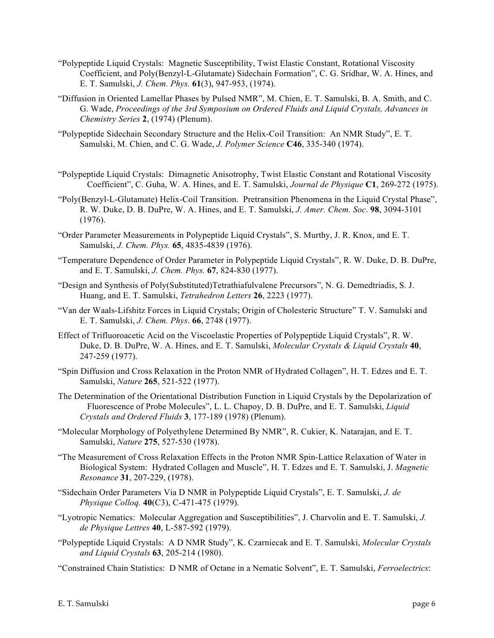- "Polypeptide Liquid Crystals: Magnetic Susceptibility, Twist Elastic Constant, Rotational Viscosity Coefficient, and Poly(Benzyl-L-Glutamate) Sidechain Formation", C. G. Sridhar, W. A. Hines, and E. T. Samulski, *J. Chem. Phys.* **61**(3), 947-953, (1974).
- "Diffusion in Oriented Lamellar Phases by Pulsed NMR", M. Chien, E. T. Samulski, B. A. Smith, and C. G. Wade, *Proceedings of the 3rd Symposium on Ordered Fluids and Liquid Crystals, Advances in Chemistry Series* **2**, (1974) (Plenum).
- "Polypeptide Sidechain Secondary Structure and the Helix-Coil Transition: An NMR Study", E. T. Samulski, M. Chien, and C. G. Wade, *J. Polymer Science* **C46**, 335-340 (1974).
- "Polypeptide Liquid Crystals: Dimagnetic Anisotrophy, Twist Elastic Constant and Rotational Viscosity Coefficient", C. Guha, W. A. Hines, and E. T. Samulski, *Journal de Physique* **C1**, 269-272 (1975).
- "Poly(Benzyl-L-Glutamate) Helix-Coil Transition. Pretransition Phenomena in the Liquid Crystal Phase", R. W. Duke, D. B. DuPre, W. A. Hines, and E. T. Samulski, *J. Amer. Chem. Soc*. **98**, 3094-3101 (1976).
- "Order Parameter Measurements in Polypeptide Liquid Crystals", S. Murthy, J. R. Knox, and E. T. Samulski, *J. Chem. Phys.* **65**, 4835-4839 (1976).
- "Temperature Dependence of Order Parameter in Polypeptide Liquid Crystals", R. W. Duke, D. B. DuPre, and E. T. Samulski, *J. Chem. Phys.* **67**, 824-830 (1977).
- "Design and Synthesis of Poly(Substituted)Tetrathiafulvalene Precursors", N. G. Demedtriadis, S. J. Huang, and E. T. Samulski, *Tetrahedron Letters* **26**, 2223 (1977).
- "Van der Waals-Lifshitz Forces in Liquid Crystals; Origin of Cholesteric Structure" T. V. Samulski and E. T. Samulski, *J. Chem. Phys*. **66**, 2748 (1977).
- Effect of Trifluoroacetic Acid on the Viscoelastic Properties of Polypeptide Liquid Crystals", R. W. Duke, D. B. DuPre, W. A. Hines, and E. T. Samulski, *Molecular Crystals & Liquid Crystals* **40**, 247-259 (1977).
- "Spin Diffusion and Cross Relaxation in the Proton NMR of Hydrated Collagen", H. T. Edzes and E. T. Samulski, *Nature* **265**, 521-522 (1977).
- The Determination of the Orientational Distribution Function in Liquid Crystals by the Depolarization of Fluorescence of Probe Molecules", L. L. Chapoy, D. B. DuPre, and E. T. Samulski, *Liquid Crystals and Ordered Fluids* **3**, 177-189 (1978) (Plenum).
- "Molecular Morphology of Polyethylene Determined By NMR", R. Cukier, K. Natarajan, and E. T. Samulski, *Nature* **275**, 527-530 (1978).
- "The Measurement of Cross Relaxation Effects in the Proton NMR Spin-Lattice Relaxation of Water in Biological System: Hydrated Collagen and Muscle", H. T. Edzes and E. T. Samulski, J. *Magnetic Resonance* **31**, 207-229, (1978).
- "Sidechain Order Parameters Via D NMR in Polypeptide Liquid Crystals", E. T. Samulski, *J. de Physique Colloq.* **40**(C3), C-471-475 (1979).
- "Lyotropic Nematics: Molecular Aggregation and Susceptibilities", J. Charvolin and E. T. Samulski, *J. de Physique Lettres* **40**, L-587-592 (1979).
- "Polypeptide Liquid Crystals: A D NMR Study", K. Czarniecak and E. T. Samulski, *Molecular Crystals and Liquid Crystals* **63**, 205-214 (1980).
- "Constrained Chain Statistics: D NMR of Octane in a Nematic Solvent", E. T. Samulski, *Ferroelectrics*: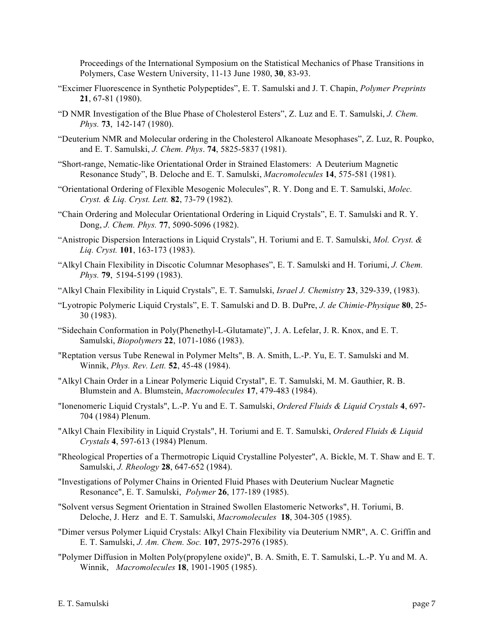Proceedings of the International Symposium on the Statistical Mechanics of Phase Transitions in Polymers, Case Western University, 11-13 June 1980, **30**, 83-93.

- "Excimer Fluorescence in Synthetic Polypeptides", E. T. Samulski and J. T. Chapin, *Polymer Preprints* **21**, 67-81 (1980).
- "D NMR Investigation of the Blue Phase of Cholesterol Esters", Z. Luz and E. T. Samulski, *J. Chem. Phys.* **73**, 142-147 (1980).
- "Deuterium NMR and Molecular ordering in the Cholesterol Alkanoate Mesophases", Z. Luz, R. Poupko, and E. T. Samulski, *J. Chem. Phys*. **74**, 5825-5837 (1981).
- "Short-range, Nematic-like Orientational Order in Strained Elastomers: A Deuterium Magnetic Resonance Study", B. Deloche and E. T. Samulski, *Macromolecules* **14**, 575-581 (1981).
- "Orientational Ordering of Flexible Mesogenic Molecules", R. Y. Dong and E. T. Samulski, *Molec. Cryst. & Liq. Cryst. Lett.* **82**, 73-79 (1982).
- "Chain Ordering and Molecular Orientational Ordering in Liquid Crystals", E. T. Samulski and R. Y. Dong, *J. Chem. Phys.* **77**, 5090-5096 (1982).
- "Anistropic Dispersion Interactions in Liquid Crystals", H. Toriumi and E. T. Samulski, *Mol. Cryst. & Liq. Cryst.* **101**, 163-173 (1983).
- "Alkyl Chain Flexibility in Discotic Columnar Mesophases", E. T. Samulski and H. Toriumi, *J. Chem. Phys.* **79**, 5194-5199 (1983).
- "Alkyl Chain Flexibility in Liquid Crystals", E. T. Samulski, *Israel J. Chemistry* **23**, 329-339, (1983).
- "Lyotropic Polymeric Liquid Crystals", E. T. Samulski and D. B. DuPre, *J. de Chimie-Physique* **80**, 25- 30 (1983).
- "Sidechain Conformation in Poly(Phenethyl-L-Glutamate)", J. A. Lefelar, J. R. Knox, and E. T. Samulski, *Biopolymers* **22**, 1071-1086 (1983).
- "Reptation versus Tube Renewal in Polymer Melts", B. A. Smith, L.-P. Yu, E. T. Samulski and M. Winnik, *Phys. Rev. Lett.* **52**, 45-48 (1984).
- "Alkyl Chain Order in a Linear Polymeric Liquid Crystal", E. T. Samulski, M. M. Gauthier, R. B. Blumstein and A. Blumstein, *Macromolecules* **17**, 479-483 (1984).
- "Ionenomeric Liquid Crystals", L.-P. Yu and E. T. Samulski, *Ordered Fluids & Liquid Crystals* **4**, 697- 704 (1984) Plenum.
- "Alkyl Chain Flexibility in Liquid Crystals", H. Toriumi and E. T. Samulski, *Ordered Fluids & Liquid Crystals* **4**, 597-613 (1984) Plenum.
- "Rheological Properties of a Thermotropic Liquid Crystalline Polyester", A. Bickle, M. T. Shaw and E. T. Samulski, *J. Rheology* **28**, 647-652 (1984).
- "Investigations of Polymer Chains in Oriented Fluid Phases with Deuterium Nuclear Magnetic Resonance", E. T. Samulski, *Polymer* **26**, 177-189 (1985).
- "Solvent versus Segment Orientation in Strained Swollen Elastomeric Networks", H. Toriumi, B. Deloche, J. Herz and E. T. Samulski, *Macromolecules* **18**, 304-305 (1985).
- "Dimer versus Polymer Liquid Crystals: Alkyl Chain Flexibility via Deuterium NMR", A. C. Griffin and E. T. Samulski, *J. Am. Chem. Soc.* **107**, 2975-2976 (1985).
- "Polymer Diffusion in Molten Poly(propylene oxide)", B. A. Smith, E. T. Samulski, L.-P. Yu and M. A. Winnik, *Macromolecules* **18**, 1901-1905 (1985).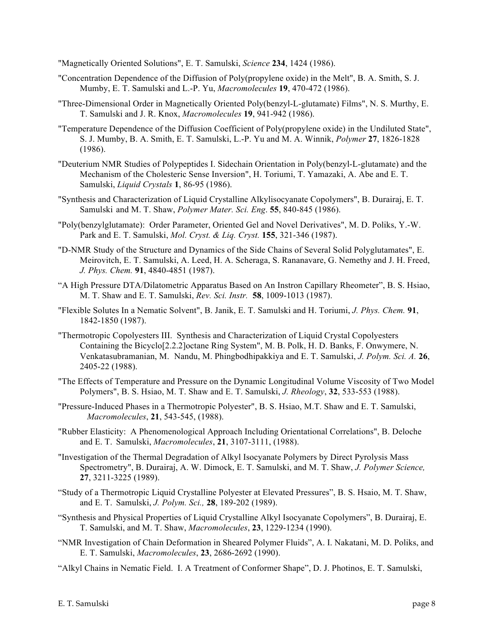"Magnetically Oriented Solutions", E. T. Samulski, *Science* **234**, 1424 (1986).

- "Concentration Dependence of the Diffusion of Poly(propylene oxide) in the Melt", B. A. Smith, S. J. Mumby, E. T. Samulski and L.-P. Yu, *Macromolecules* **19**, 470-472 (1986).
- "Three-Dimensional Order in Magnetically Oriented Poly(benzyl-L-glutamate) Films", N. S. Murthy, E. T. Samulski and J. R. Knox, *Macromolecules* **19**, 941-942 (1986).
- "Temperature Dependence of the Diffusion Coefficient of Poly(propylene oxide) in the Undiluted State", S. J. Mumby, B. A. Smith, E. T. Samulski, L.-P. Yu and M. A. Winnik, *Polymer* **27**, 1826-1828 (1986).
- "Deuterium NMR Studies of Polypeptides I. Sidechain Orientation in Poly(benzyl-L-glutamate) and the Mechanism of the Cholesteric Sense Inversion", H. Toriumi, T. Yamazaki, A. Abe and E. T. Samulski, *Liquid Crystals* **1**, 86-95 (1986).
- "Synthesis and Characterization of Liquid Crystalline Alkylisocyanate Copolymers", B. Durairaj, E. T. Samulski and M. T. Shaw, *Polymer Mater. Sci. Eng*. **55**, 840-845 (1986).
- "Poly(benzylglutamate): Order Parameter, Oriented Gel and Novel Derivatives", M. D. Poliks, Y.-W. Park and E. T. Samulski, *Mol. Cryst. & Liq. Cryst.* **155**, 321-346 (1987).
- "D-NMR Study of the Structure and Dynamics of the Side Chains of Several Solid Polyglutamates", E. Meirovitch, E. T. Samulski, A. Leed, H. A. Scheraga, S. Rananavare, G. Nemethy and J. H. Freed, *J. Phys. Chem.* **91**, 4840-4851 (1987).
- "A High Pressure DTA/Dilatometric Apparatus Based on An Instron Capillary Rheometer", B. S. Hsiao, M. T. Shaw and E. T. Samulski, *Rev. Sci. Instr.* **58**, 1009-1013 (1987).
- "Flexible Solutes In a Nematic Solvent", B. Janik, E. T. Samulski and H. Toriumi, *J. Phys. Chem.* **91**, 1842-1850 (1987).
- "Thermotropic Copolyesters III. Synthesis and Characterization of Liquid Crystal Copolyesters Containing the Bicyclo[2.2.2]octane Ring System", M. B. Polk, H. D. Banks, F. Onwymere, N. Venkatasubramanian, M. Nandu, M. Phingbodhipakkiya and E. T. Samulski, *J. Polym. Sci. A.* **26**, 2405-22 (1988).
- "The Effects of Temperature and Pressure on the Dynamic Longitudinal Volume Viscosity of Two Model Polymers", B. S. Hsiao, M. T. Shaw and E. T. Samulski, *J. Rheology*, **32**, 533-553 (1988).
- "Pressure-Induced Phases in a Thermotropic Polyester", B. S. Hsiao, M.T. Shaw and E. T. Samulski, *Macromolecules*, **21**, 543-545, (1988).
- "Rubber Elasticity: A Phenomenological Approach Including Orientational Correlations", B. Deloche and E. T. Samulski, *Macromolecules*, **21**, 3107-3111, (1988).
- "Investigation of the Thermal Degradation of Alkyl Isocyanate Polymers by Direct Pyrolysis Mass Spectrometry", B. Durairaj, A. W. Dimock, E. T. Samulski, and M. T. Shaw, *J. Polymer Science,* **27**, 3211-3225 (1989).
- "Study of a Thermotropic Liquid Crystalline Polyester at Elevated Pressures", B. S. Hsaio, M. T. Shaw, and E. T. Samulski, *J. Polym. Sci.,* **28**, 189-202 (1989).
- "Synthesis and Physical Properties of Liquid Crystalline Alkyl Isocyanate Copolymers", B. Durairaj, E. T. Samulski, and M. T. Shaw, *Macromolecules*, **23**, 1229-1234 (1990).
- "NMR Investigation of Chain Deformation in Sheared Polymer Fluids", A. I. Nakatani, M. D. Poliks, and E. T. Samulski, *Macromolecules*, **23**, 2686-2692 (1990).
- "Alkyl Chains in Nematic Field. I. A Treatment of Conformer Shape", D. J. Photinos, E. T. Samulski,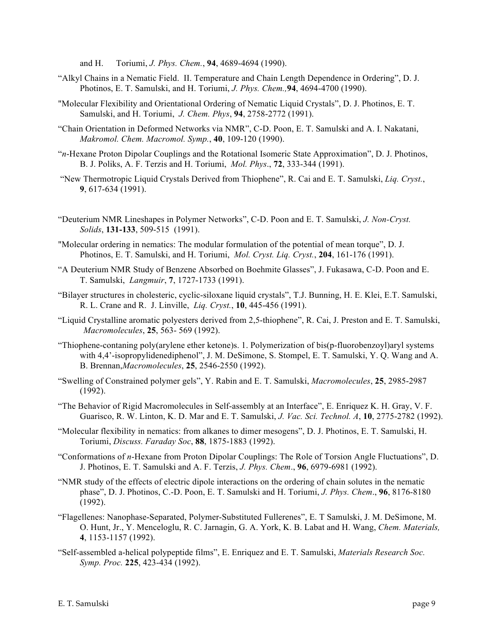and H. Toriumi, *J. Phys. Chem.*, **94**, 4689-4694 (1990).

- "Alkyl Chains in a Nematic Field. II. Temperature and Chain Length Dependence in Ordering", D. J. Photinos, E. T. Samulski, and H. Toriumi, *J. Phys. Chem.,***94**, 4694-4700 (1990).
- "Molecular Flexibility and Orientational Ordering of Nematic Liquid Crystals", D. J. Photinos, E. T. Samulski, and H. Toriumi, *J. Chem. Phys*, **94**, 2758-2772 (1991).
- "Chain Orientation in Deformed Networks via NMR", C-D. Poon, E. T. Samulski and A. I. Nakatani, *Makromol. Chem. Macromol. Symp.*, **40**, 109-120 (1990).
- "*n*-Hexane Proton Dipolar Couplings and the Rotational Isomeric State Approximation", D. J. Photinos, B. J. Poliks, A. F. Terzis and H. Toriumi, *Mol. Phys*., **72**, 333-344 (1991).
- "New Thermotropic Liquid Crystals Derived from Thiophene", R. Cai and E. T. Samulski, *Liq. Cryst.*, **9**, 617-634 (1991).
- "Deuterium NMR Lineshapes in Polymer Networks", C-D. Poon and E. T. Samulski, *J. Non-Cryst. Solids*, **131-133**, 509-515 (1991).
- "Molecular ordering in nematics: The modular formulation of the potential of mean torque", D. J. Photinos, E. T. Samulski, and H. Toriumi, *Mol. Cryst. Liq. Cryst.*, **204**, 161-176 (1991).
- "A Deuterium NMR Study of Benzene Absorbed on Boehmite Glasses", J. Fukasawa, C-D. Poon and E. T. Samulski, *Langmuir*, **7**, 1727-1733 (1991).
- "Bilayer structures in cholesteric, cyclic-siloxane liquid crystals", T.J. Bunning, H. E. Klei, E.T. Samulski, R. L. Crane and R. J. Linville, *Liq. Cryst.*, **10**, 445-456 (1991).
- "Liquid Crystalline aromatic polyesters derived from 2,5-thiophene", R. Cai, J. Preston and E. T. Samulski, *Macromolecules*, **25**, 563- 569 (1992).
- "Thiophene-contaning poly(arylene ether ketone)s. 1. Polymerization of bis(p-fluorobenzoyl)aryl systems with 4,4'-isopropylidenediphenol", J. M. DeSimone, S. Stompel, E. T. Samulski, Y. Q. Wang and A. B. Brennan,*Macromolecules*, **25**, 2546-2550 (1992).
- "Swelling of Constrained polymer gels", Y. Rabin and E. T. Samulski, *Macromolecules*, **25**, 2985-2987 (1992).
- "The Behavior of Rigid Macromolecules in Self-assembly at an Interface", E. Enriquez K. H. Gray, V. F. Guarisco, R. W. Linton, K. D. Mar and E. T. Samulski, *J. Vac. Sci. Technol. A*, **10**, 2775-2782 (1992).
- "Molecular flexibility in nematics: from alkanes to dimer mesogens", D. J. Photinos, E. T. Samulski, H. Toriumi, *Discuss. Faraday Soc*, **88**, 1875-1883 (1992).
- "Conformations of *n*-Hexane from Proton Dipolar Couplings: The Role of Torsion Angle Fluctuations", D. J. Photinos, E. T. Samulski and A. F. Terzis, *J. Phys. Chem*., **96**, 6979-6981 (1992).
- "NMR study of the effects of electric dipole interactions on the ordering of chain solutes in the nematic phase", D. J. Photinos, C.-D. Poon, E. T. Samulski and H. Toriumi, *J. Phys. Chem*., **96**, 8176-8180 (1992).
- "Flagellenes: Nanophase-Separated, Polymer-Substituted Fullerenes", E. T Samulski, J. M. DeSimone, M. O. Hunt, Jr., Y. Menceloglu, R. C. Jarnagin, G. A. York, K. B. Labat and H. Wang, *Chem. Materials,* **4**, 1153-1157 (1992).
- "Self-assembled a-helical polypeptide films", E. Enriquez and E. T. Samulski, *Materials Research Soc. Symp. Proc.* **225**, 423-434 (1992).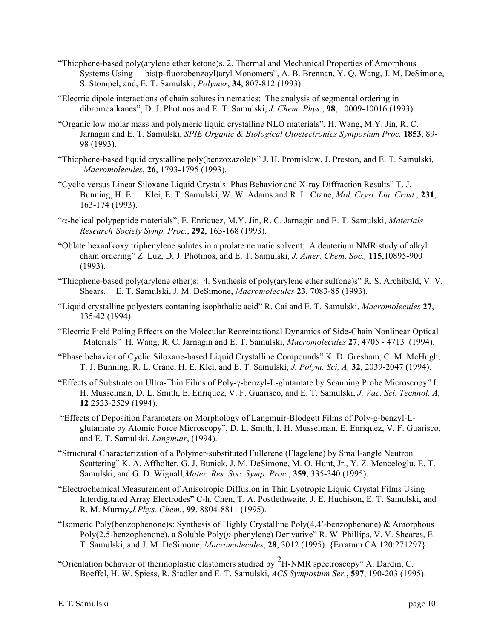- "Thiophene-based poly(arylene ether ketone)s. 2. Thermal and Mechanical Properties of Amorphous Systems Using bis(p-fluorobenzoyl)aryl Monomers", A. B. Brennan, Y. Q. Wang, J. M. DeSimone, S. Stompel, and, E. T. Samulski, *Polymer*, **34**, 807-812 (1993).
- "Electric dipole interactions of chain solutes in nematics: The analysis of segmental ordering in dibromoalkanes", D. J. Photinos and E. T. Samulski, *J. Chem*. *Phys.*, **98**, 10009-10016 (1993).
- "Organic low molar mass and polymeric liquid crystalline NLO materials", H. Wang, M.Y. Jin, R. C. Jarnagin and E. T. Samulski, *SPIE Organic & Biological Otoelectronics Symposium Proc.* **1853**, 89- 98 (1993).
- "Thiophene-based liquid crystalline poly(benzoxazole)s" J. H. Promislow, J. Preston, and E. T. Samulski, *Macromolecules*, **26**, 1793-1795 (1993).
- "Cyclic versus Linear Siloxane Liquid Crystals: Phas Behavior and X-ray Diffraction Results" T. J. Bunning, H. E. Klei, E. T. Samulski, W. W. Adams and R. L. Crane, *Mol. Cryst. Liq. Crust.,* **231**, 163-174 (1993).
- "α-helical polypeptide materials", E. Enriquez, M.Y. Jin, R. C. Jarnagin and E. T. Samulski, *Materials Research Society Symp. Proc.*, **292**, 163-168 (1993).
- "Oblate hexaalkoxy triphenylene solutes in a prolate nematic solvent: A deuterium NMR study of alkyl chain ordering" Z. Luz, D. J. Photinos, and E. T. Samulski, *J. Amer. Chem. Soc*.*,* **115**,10895-900 (1993).
- "Thiophene-based poly(arylene ether)s: 4. Synthesis of poly(arylene ether sulfone)s" R. S. Archibald, V. V. Shears. E. T. Samulski, J. M. DeSimone, *Macromolecules* **23**, 7083-85 (1993).
- "Liquid crystalline polyesters contaning isophthalic acid" R. Cai and E. T. Samulski, *Macromolecules* **27**, 135-42 (1994).
- "Electric Field Poling Effects on the Molecular Reoreintational Dynamics of Side-Chain Nonlinear Optical Materials" H. Wang, R. C. Jarnagin and E. T. Samulski, *Macromolecules* **27**, 4705 - 4713 (1994).
- "Phase behavior of Cyclic Siloxane-based Liquid Crystalline Compounds" K. D. Gresham, C. M. McHugh, T. J. Bunning, R. L. Crane, H. E. Klei, and E. T. Samulski, *J. Polym. Sci, A,* **32**, 2039-2047 (1994).
- "Effects of Substrate on Ultra-Thin Films of Poly-γ-benzyl-L-glutamate by Scanning Probe Microscopy" I. H. Musselman, D. L. Smith, E. Enriquez, V. F. Guarisco, and E. T. Samulski, *J. Vac. Sci. Technol. A*, **12** 2523-2529 (1994).
- "Effects of Deposition Parameters on Morphology of Langmuir-Blodgett Films of Poly-g-benzyl-Lglutamate by Atomic Force Microscopy", D. L. Smith, I. H. Musselman, E. Enriquez, V. F. Guarisco, and E. T. Samulski, *Langmuir*, (1994).
- "Structural Characterization of a Polymer-substituted Fullerene (Flagelene) by Small-angle Neutron Scattering" K. A. Affholter, G. J. Bunick, J. M. DeSimone, M. O. Hunt, Jr., Y. Z. Menceloglu, E. T. Samulski, and G. D. Wignall,*Mater. Res. Soc. Symp. Proc.*, **359**, 335-340 (1995).
- "Electrochemical Measurement of Anisotropic Diffusion in Thin Lyotropic Liquid Crystal Films Using Interdigitated Array Electrodes" C-h. Chen, T. A. Postlethwaite, J. E. Huchison, E. T. Samulski, and R. M. Murray,*J.Phys. Chem.*, **99**, 8804-8811 (1995).
- "Isomeric Poly(benzophenone)s: Synthesis of Highly Crystalline Poly(4,4'-benzophenone) & Amorphous Poly(2,5-benzophenone), a Soluble Poly(*p*-phenylene) Derivative" R. W. Phillips, V. V. Sheares, E. T. Samulski, and J. M. DeSimone, *Macromolecules*, **28**, 3012 (1995). {Erratum CA 120:271297}
- "Orientation behavior of thermoplastic elastomers studied by  ${}^{2}$ H-NMR spectroscopy" A. Dardin, C. Boeffel, H. W. Spiess, R. Stadler and E. T. Samulski, *ACS Symposium Ser.*, **597**, 190-203 (1995).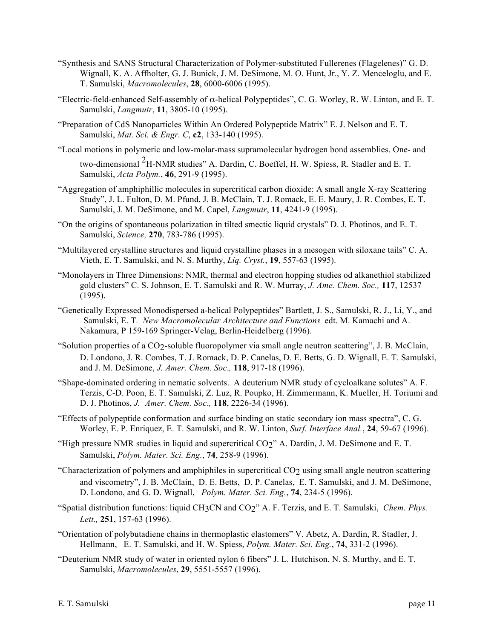- "Synthesis and SANS Structural Characterization of Polymer-substituted Fullerenes (Flagelenes)" G. D. Wignall, K. A. Affholter, G. J. Bunick, J. M. DeSimone, M. O. Hunt, Jr., Y. Z. Menceloglu, and E. T. Samulski, *Macromolecules*, **28**, 6000-6006 (1995).
- "Electric-field-enhanced Self-assembly of  $\alpha$ -helical Polypeptides", C. G. Worley, R. W. Linton, and E. T. Samulski, *Langmuir*, **11**, 3805-10 (1995).
- "Preparation of CdS Nanoparticles Within An Ordered Polypeptide Matrix" E. J. Nelson and E. T. Samulski, *Mat. Sci. & Engr. C*, **c2**, 133-140 (1995).
- "Local motions in polymeric and low-molar-mass supramolecular hydrogen bond assemblies. One- and two-dimensional 2H-NMR studies" A. Dardin, C. Boeffel, H. W. Spiess, R. Stadler and E. T. Samulski, *Acta Polym.*, **46**, 291-9 (1995).
- "Aggregation of amphiphillic molecules in supercritical carbon dioxide: A small angle X-ray Scattering Study", J. L. Fulton, D. M. Pfund, J. B. McClain, T. J. Romack, E. E. Maury, J. R. Combes, E. T. Samulski, J. M. DeSimone, and M. Capel, *Langmuir*, **11**, 4241-9 (1995).
- "On the origins of spontaneous polarization in tilted smectic liquid crystals" D. J. Photinos, and E. T. Samulski, *Science,* **270**, 783-786 (1995).
- "Multilayered crystalline structures and liquid crystalline phases in a mesogen with siloxane tails" C. A. Vieth, E. T. Samulski, and N. S. Murthy, *Liq. Cryst.*, **19**, 557-63 (1995).
- "Monolayers in Three Dimensions: NMR, thermal and electron hopping studies od alkanethiol stabilized gold clusters" C. S. Johnson, E. T. Samulski and R. W. Murray, *J. Ame. Chem. Soc.,* **117**, 12537 (1995).
- "Genetically Expressed Monodispersed a-helical Polypeptides" Bartlett, J. S., Samulski, R. J., Li, Y., and Samulski, E. T*. New Macromolecular Architecture and Functions* edt. M. Kamachi and A. Nakamura, P 159-169 Springer-Velag, Berlin-Heidelberg (1996).
- "Solution properties of a CO2-soluble fluoropolymer via small angle neutron scattering", J. B. McClain, D. Londono, J. R. Combes, T. J. Romack, D. P. Canelas, D. E. Betts, G. D. Wignall, E. T. Samulski, and J. M. DeSimone, *J. Amer. Chem. Soc*.*,* **118**, 917-18 (1996).
- "Shape-dominated ordering in nematic solvents. A deuterium NMR study of cycloalkane solutes" A. F. Terzis, C-D. Poon, E. T. Samulski, Z. Luz, R. Poupko, H. Zimmermann, K. Mueller, H. Toriumi and D. J. Photinos, *J. Amer. Chem. Soc*.*,* **118**, 2226-34 (1996).
- "Effects of polypeptide conformation and surface binding on static secondary ion mass spectra", C. G. Worley, E. P. Enriquez, E. T. Samulski, and R. W. Linton, *Surf. Interface Anal.*, **24**, 59-67 (1996).
- "High pressure NMR studies in liquid and supercritical CO2" A. Dardin, J. M. DeSimone and E. T. Samulski, *Polym. Mater. Sci. Eng.*, **74**, 258-9 (1996).
- "Characterization of polymers and amphiphiles in supercritical CO2 using small angle neutron scattering and viscometry", J. B. McClain, D. E. Betts, D. P. Canelas, E. T. Samulski, and J. M. DeSimone, D. Londono, and G. D. Wignall, *Polym. Mater. Sci. Eng.*, **74**, 234-5 (1996).
- "Spatial distribution functions: liquid CH3CN and CO2" A. F. Terzis, and E. T. Samulski, *Chem. Phys. Lett*.*,* **251**, 157-63 (1996).
- "Orientation of polybutadiene chains in thermoplastic elastomers" V. Abetz, A. Dardin, R. Stadler, J. Hellmann, E. T. Samulski, and H. W. Spiess, *Polym. Mater. Sci. Eng.*, **74**, 331-2 (1996).
- "Deuterium NMR study of water in oriented nylon 6 fibers" J. L. Hutchison, N. S. Murthy, and E. T. Samulski, *Macromolecules*, **29**, 5551-5557 (1996).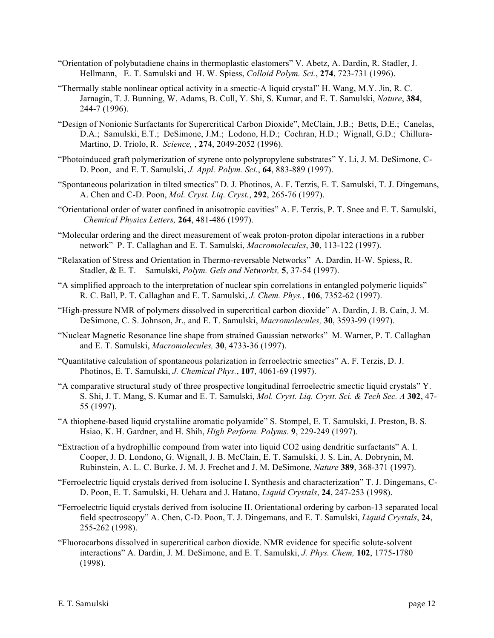- "Orientation of polybutadiene chains in thermoplastic elastomers" V. Abetz, A. Dardin, R. Stadler, J. Hellmann, E. T. Samulski and H. W. Spiess, *Colloid Polym. Sci.*, **274**, 723-731 (1996).
- "Thermally stable nonlinear optical activity in a smectic-A liquid crystal" H. Wang, M.Y. Jin, R. C. Jarnagin, T. J. Bunning, W. Adams, B. Cull, Y. Shi, S. Kumar, and E. T. Samulski, *Nature*, **384**, 244-7 (1996).
- "Design of Nonionic Surfactants for Supercritical Carbon Dioxide", McClain, J.B.; Betts, D.E.; Canelas, D.A.; Samulski, E.T.; DeSimone, J.M.; Lodono, H.D.; Cochran, H.D.; Wignall, G.D.; Chillura-Martino, D. Triolo, R. *Science,* , **274**, 2049-2052 (1996).
- "Photoinduced graft polymerization of styrene onto polypropylene substrates" Y. Li, J. M. DeSimone, C-D. Poon, and E. T. Samulski, *J. Appl. Polym. Sci.*, **64**, 883-889 (1997).
- "Spontaneous polarization in tilted smectics" D. J. Photinos, A. F. Terzis, E. T. Samulski, T. J. Dingemans, A. Chen and C-D. Poon, *Mol. Cryst. Liq. Cryst.*, **292**, 265-76 (1997).
- "Orientational order of water confined in anisotropic cavities" A. F. Terzis, P. T. Snee and E. T. Samulski, *Chemical Physics Letters,* **264**, 481-486 (1997).
- "Molecular ordering and the direct measurement of weak proton-proton dipolar interactions in a rubber network" P. T. Callaghan and E. T. Samulski, *Macromolecules*, **30**, 113-122 (1997).
- "Relaxation of Stress and Orientation in Thermo-reversable Networks" A. Dardin, H-W. Spiess, R. Stadler, & E. T. Samulski, *Polym. Gels and Networks,* **5**, 37-54 (1997).
- "A simplified approach to the interpretation of nuclear spin correlations in entangled polymeric liquids" R. C. Ball, P. T. Callaghan and E. T. Samulski, *J. Chem. Phys.*, **106**, 7352-62 (1997).
- "High-pressure NMR of polymers dissolved in supercritical carbon dioxide" A. Dardin, J. B. Cain, J. M. DeSimone, C. S. Johnson, Jr., and E. T. Samulski, *Macromolecules,* **30**, 3593-99 (1997).
- "Nuclear Magnetic Resonance line shape from strained Gaussian networks" M. Warner, P. T. Callaghan and E. T. Samulski, *Macromolecules,* **30**, 4733-36 (1997).
- "Quantitative calculation of spontaneous polarization in ferroelectric smectics" A. F. Terzis, D. J. Photinos, E. T. Samulski, *J. Chemical Phys.*, **107**, 4061-69 (1997).
- "A comparative structural study of three prospective longitudinal ferroelectric smectic liquid crystals" Y. S. Shi, J. T. Mang, S. Kumar and E. T. Samulski, *Mol. Cryst. Liq. Cryst. Sci. & Tech Sec. A* **302**, 47- 55 (1997).
- "A thiophene-based liquid crystaliine aromatic polyamide" S. Stompel, E. T. Samulski, J. Preston, B. S. Hsiao, K. H. Gardner, and H. Shih, *High Perform. Polyms.* **9**, 229-249 (1997).
- "Extraction of a hydrophillic compound from water into liquid CO2 using dendritic surfactants" A. I. Cooper, J. D. Londono, G. Wignall, J. B. McClain, E. T. Samulski, J. S. Lin, A. Dobrynin, M. Rubinstein, A. L. C. Burke, J. M. J. Frechet and J. M. DeSimone, *Nature* **389**, 368-371 (1997).
- "Ferroelectric liquid crystals derived from isolucine I. Synthesis and characterization" T. J. Dingemans, C-D. Poon, E. T. Samulski, H. Uehara and J. Hatano, *Liquid Crystals*, **24**, 247-253 (1998).
- "Ferroelectric liquid crystals derived from isolucine II. Orientational ordering by carbon-13 separated local field spectroscopy" A. Chen, C-D. Poon, T. J. Dingemans, and E. T. Samulski, *Liquid Crystals*, **24**, 255-262 (1998).
- "Fluorocarbons dissolved in supercritical carbon dioxide. NMR evidence for specific solute-solvent interactions" A. Dardin, J. M. DeSimone, and E. T. Samulski, *J. Phys. Chem,* **102**, 1775-1780 (1998).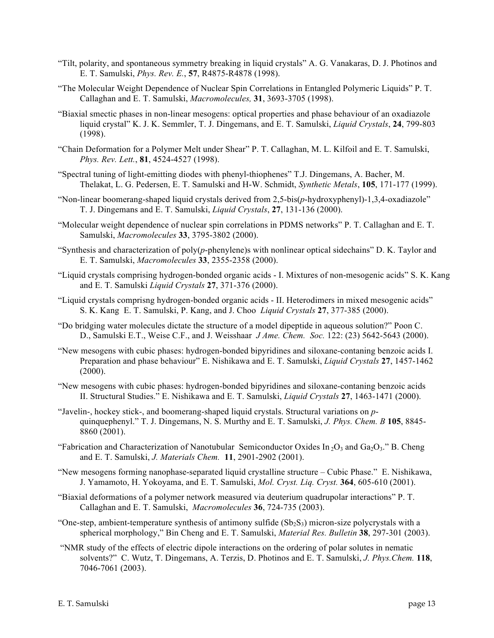- "Tilt, polarity, and spontaneous symmetry breaking in liquid crystals" A. G. Vanakaras, D. J. Photinos and E. T. Samulski, *Phys. Rev. E.*, **57**, R4875-R4878 (1998).
- "The Molecular Weight Dependence of Nuclear Spin Correlations in Entangled Polymeric Liquids" P. T. Callaghan and E. T. Samulski, *Macromolecules,* **31**, 3693-3705 (1998).
- "Biaxial smectic phases in non-linear mesogens: optical properties and phase behaviour of an oxadiazole liquid crystal" K. J. K. Semmler, T. J. Dingemans, and E. T. Samulski, *Liquid Crystals*, **24**, 799-803 (1998).
- "Chain Deformation for a Polymer Melt under Shear" P. T. Callaghan, M. L. Kilfoil and E. T. Samulski, *Phys. Rev. Lett.*, **81**, 4524-4527 (1998).
- "Spectral tuning of light-emitting diodes with phenyl-thiophenes" T.J. Dingemans, A. Bacher, M. Thelakat, L. G. Pedersen, E. T. Samulski and H-W. Schmidt, *Synthetic Metals*, **105**, 171-177 (1999).
- "Non-linear boomerang-shaped liquid crystals derived from 2,5-bis(*p*-hydroxyphenyl)-1,3,4-oxadiazole" T. J. Dingemans and E. T. Samulski, *Liquid Crystals*, **27**, 131-136 (2000).
- "Molecular weight dependence of nuclear spin correlations in PDMS networks" P. T. Callaghan and E. T. Samulski, *Macromolecules* **33**, 3795-3802 (2000).
- "Synthesis and characterization of  $poly(p$ -phenylene)s with nonlinear optical sidechains" D. K. Taylor and E. T. Samulski, *Macromolecules* **33**, 2355-2358 (2000).
- "Liquid crystals comprising hydrogen-bonded organic acids I. Mixtures of non-mesogenic acids" S. K. Kang and E. T. Samulski *Liquid Crystals* **27**, 371-376 (2000).
- "Liquid crystals comprisng hydrogen-bonded organic acids II. Heterodimers in mixed mesogenic acids" S. K. Kang E. T. Samulski, P. Kang, and J. Choo *Liquid Crystals* **27**, 377-385 (2000).
- "Do bridging water molecules dictate the structure of a model dipeptide in aqueous solution?" Poon C. D., Samulski E.T., Weise C.F., and J. Weisshaar *J Ame. Chem. Soc.* 122: (23) 5642-5643 (2000).
- "New mesogens with cubic phases: hydrogen-bonded bipyridines and siloxane-contaning benzoic acids I. Preparation and phase behaviour" E. Nishikawa and E. T. Samulski, *Liquid Crystals* **27**, 1457-1462 (2000).
- "New mesogens with cubic phases: hydrogen-bonded bipyridines and siloxane-contaning benzoic acids II. Structural Studies." E. Nishikawa and E. T. Samulski, *Liquid Crystals* **27**, 1463-1471 (2000).
- "Javelin-, hockey stick-, and boomerang-shaped liquid crystals. Structural variations on *p*quinquephenyl." T. J. Dingemans, N. S. Murthy and E. T. Samulski, *J. Phys. Chem. B* **105**, 8845- 8860 (2001).
- "Fabrication and Characterization of Nanotubular Semiconductor Oxides In  $_2O_3$  and Ga<sub>2</sub>O<sub>3</sub>." B. Cheng and E. T. Samulski, *J. Materials Chem.* **11**, 2901-2902 (2001).
- "New mesogens forming nanophase-separated liquid crystalline structure Cubic Phase." E. Nishikawa, J. Yamamoto, H. Yokoyama, and E. T. Samulski, *Mol. Cryst. Liq. Cryst.* **364**, 605-610 (2001).
- "Biaxial deformations of a polymer network measured via deuterium quadrupolar interactions" P. T. Callaghan and E. T. Samulski, *Macromolecules* **36**, 724-735 (2003).
- "One-step, ambient-temperature synthesis of antimony sulfide  $(Sb_2S_3)$  micron-size polycrystals with a spherical morphology," Bin Cheng and E. T. Samulski, *Material Res. Bulletin* **38**, 297-301 (2003).
- "NMR study of the effects of electric dipole interactions on the ordering of polar solutes in nematic solvents?" C. Wutz, T. Dingemans, A. Terzis, D. Photinos and E. T. Samulski, *J. Phys.Chem.* **118**, 7046-7061 (2003).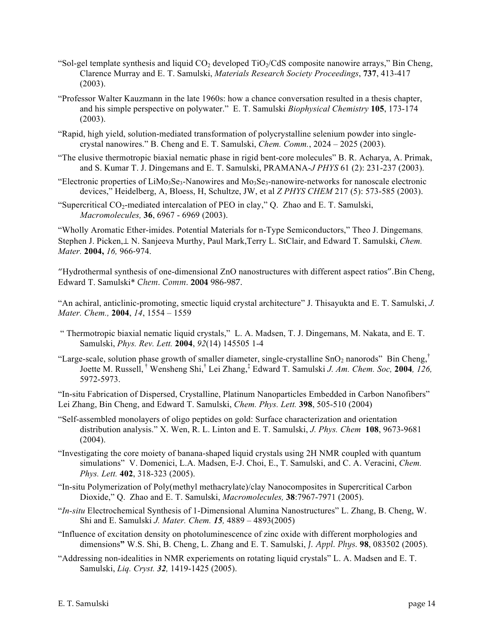- "Sol-gel template synthesis and liquid  $CO<sub>2</sub>$  developed TiO $\frac{1}{10}$ CdS composite nanowire arrays," Bin Cheng, Clarence Murray and E. T. Samulski, *Materials Research Society Proceedings*, **737**, 413-417 (2003).
- "Professor Walter Kauzmann in the late 1960s: how a chance conversation resulted in a thesis chapter, and his simple perspective on polywater." E. T. Samulski *Biophysical Chemistry* **105**, 173-174 (2003).
- "Rapid, high yield, solution-mediated transformation of polycrystalline selenium powder into singlecrystal nanowires." B. Cheng and E. T. Samulski, *Chem. Comm.*, 2024 – 2025 (2003).
- "The elusive thermotropic biaxial nematic phase in rigid bent-core molecules" B. R. Acharya, A. Primak, and S. Kumar T. J. Dingemans and E. T. Samulski, PRAMANA-*J PHYS* 61 (2): 231-237 (2003).
- "Electronic properties of LiMo<sub>3</sub>Se<sub>3</sub>-Nanowires and Mo<sub>3</sub>Se<sub>3</sub>-nanowire-networks for nanoscale electronic devices," Heidelberg, A, Bloess, H, Schultze, JW, et al *Z PHYS CHEM* 217 (5): 573-585 (2003).
- "Supercritical  $CO_2$ -mediated intercalation of PEO in clay," Q. Zhao and E. T. Samulski, *Macromolecules,* **36**, 6967 - 6969 (2003).

"Wholly Aromatic Ether-imides. Potential Materials for n-Type Semiconductors," Theo J. Dingemans, Stephen J. Picken,⊥ N. Sanjeeva Murthy, Paul Mark,Terry L. StClair, and Edward T. Samulski, *Chem. Mater.* **2004,** *16,* 966-974.

"Hydrothermal synthesis of one-dimensional ZnO nanostructures with different aspect ratios"*.*Bin Cheng, Edward T. Samulski\* *Chem. Comm.* **2004** 986-987.

"An achiral, anticlinic-promoting, smectic liquid crystal architecture" J. Thisayukta and E. T. Samulski, *J. Mater. Chem.,* **2004**, *14*, 1554 – 1559

- " Thermotropic biaxial nematic liquid crystals," L. A. Madsen, T. J. Dingemans, M. Nakata, and E. T. Samulski, *Phys. Rev. Lett.* **2004**, *92*(14) 145505 1-4
- "Large-scale, solution phase growth of smaller diameter, single-crystalline  $SnO<sub>2</sub>$  nanorods" Bin Cheng,<sup>†</sup> Joette M. Russell, † Wensheng Shi,† Lei Zhang,‡ Edward T. Samulski *J. Am. Chem. Soc,* **2004***, 126,*  5972-5973.

"In-situ Fabrication of Dispersed, Crystalline, Platinum Nanoparticles Embedded in Carbon Nanofibers" Lei Zhang, Bin Cheng, and Edward T. Samulski, *Chem. Phys. Lett.* **398**, 505-510 (2004)

"Self-assembled monolayers of oligo peptides on gold: Surface characterization and orientation distribution analysis." X. Wen, R. L. Linton and E. T. Samulski, *J. Phys. Chem* **108**, 9673-9681 (2004).

"Investigating the core moiety of banana-shaped liquid crystals using 2H NMR coupled with quantum simulations" V. Domenici, L.A. Madsen, E-J. Choi, E., T. Samulski, and C. A. Veracini, *Chem. Phys. Lett.* **402**, 318-323 (2005).

- "In-situ Polymerization of Poly(methyl methacrylate)/clay Nanocomposites in Supercritical Carbon Dioxide," Q. Zhao and E. T. Samulski, *Macromolecules,* **38**:7967-7971 (2005).
- "*In-situ* Electrochemical Synthesis of 1-Dimensional Alumina Nanostructures" L. Zhang, B. Cheng, W. Shi and E. Samulski *J. Mater. Chem. 15,* 4889 – 4893(2005)
- "Influence of excitation density on photoluminescence of zinc oxide with different morphologies and dimensions**"** W.S. Shi, B. Cheng, L. Zhang and E. T. Samulski, *J. Appl. Phys.* **98**, 083502 (2005).
- "Addressing non-idealities in NMR experiements on rotating liquid crystals" L. A. Madsen and E. T. Samulski, *Liq. Cryst. 32,* 1419-1425 (2005).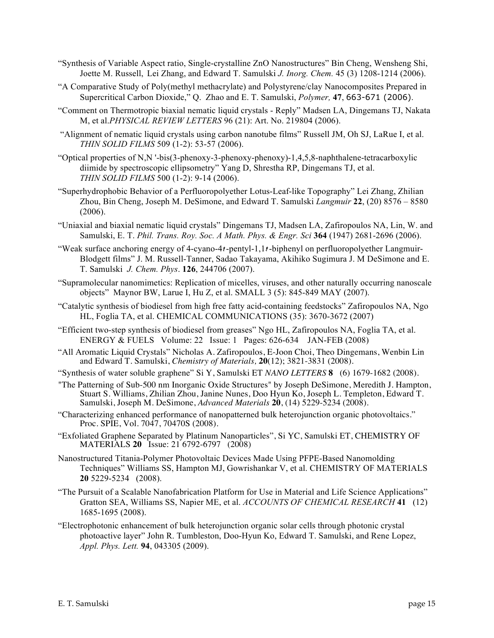- "Synthesis of Variable Aspect ratio, Single-crystalline ZnO Nanostructures" Bin Cheng, Wensheng Shi, Joette M. Russell, Lei Zhang, and Edward T. Samulski *J. Inorg. Chem.* 45 (3) 1208-1214 (2006).
- "A Comparative Study of Poly(methyl methacrylate) and Polystyrene/clay Nanocomposites Prepared in Supercritical Carbon Dioxide," Q. Zhao and E. T. Samulski, *Polymer,* **47**, 663-671 (2006).
- "Comment on Thermotropic biaxial nematic liquid crystals Reply" Madsen LA, Dingemans TJ, Nakata M, et al.*PHYSICAL REVIEW LETTERS* 96 (21): Art. No. 219804 (2006).
- "Alignment of nematic liquid crystals using carbon nanotube films" Russell JM, Oh SJ, LaRue I, et al. *THIN SOLID FILMS* 509 (1-2): 53-57 (2006).
- "Optical properties of N,N '-bis(3-phenoxy-3-phenoxy-phenoxy)-1,4,5,8-naphthalene-tetracarboxylic diimide by spectroscopic ellipsometry" Yang D, Shrestha RP, Dingemans TJ, et al. *THIN SOLID FILMS* 500 (1-2): 9-14 (2006).
- "Superhydrophobic Behavior of a Perfluoropolyether Lotus-Leaf-like Topography" Lei Zhang, Zhilian Zhou, Bin Cheng, Joseph M. DeSimone, and Edward T. Samulski *Langmuir* **22**, (20) 8576 – 8580 (2006).
- "Uniaxial and biaxial nematic liquid crystals" Dingemans TJ, Madsen LA, Zafiropoulos NA, Lin, W. and Samulski, E. T. *Phil. Trans. Roy. Soc. A Math. Phys. & Engr. Sci* **364** (1947) 2681-2696 (2006).
- "Weak surface anchoring energy of 4-cyano-4 $t$ -pentyl-1,1 $t$ -biphenyl on perfluoropolyether Langmuir-Blodgett films" J. M. Russell-Tanner, Sadao Takayama, Akihiko Sugimura J. M DeSimone and E. T. Samulski *J. Chem. Phys*. **126**, 244706 (2007).
- "Supramolecular nanomimetics: Replication of micelles, viruses, and other naturally occurring nanoscale objects" Maynor BW, Larue I, Hu Z, et al. SMALL 3 (5): 845-849 MAY (2007).
- "Catalytic synthesis of biodiesel from high free fatty acid-containing feedstocks" Zafiropoulos NA, Ngo HL, Foglia TA, et al. CHEMICAL COMMUNICATIONS (35): 3670-3672 (2007)
- "Efficient two-step synthesis of biodiesel from greases" Ngo HL, Zafiropoulos NA, Foglia TA, et al. ENERGY & FUELS Volume: 22 Issue: 1 Pages: 626-634 JAN-FEB (2008)
- "All Aromatic Liquid Crystals" Nicholas A. Zafiropoulos, E-Joon Choi, Theo Dingemans, Wenbin Lin and Edward T. Samulski, *Chemistry of Materials,* **20**(12); 3821-3831 (2008).
- "Synthesis of water soluble graphene" Si Y, Samulski ET *NANO LETTERS* **8** (6) 1679-1682 (2008).
- "The Patterning of Sub-500 nm Inorganic Oxide Structures" by Joseph DeSimone, Meredith J. Hampton, Stuart S. Williams, Zhilian Zhou, Janine Nunes, Doo Hyun Ko, Joseph L. Templeton, Edward T. Samulski, Joseph M. DeSimone, *Advanced Materials* **20**, (14) 5229-5234 (2008).
- "Characterizing enhanced performance of nanopatterned bulk heterojunction organic photovoltaics." Proc. SPIE, Vol. 7047, 70470S (2008).
- "Exfoliated Graphene Separated by Platinum Nanoparticles", Si YC, Samulski ET, CHEMISTRY OF MATERIALS **20** Issue: 21 6792-6797 (2008)
- Nanostructured Titania-Polymer Photovoltaic Devices Made Using PFPE-Based Nanomolding Techniques" Williams SS, Hampton MJ, Gowrishankar V, et al. CHEMISTRY OF MATERIALS **20** 5229-5234 (2008).
- "The Pursuit of a Scalable Nanofabrication Platform for Use in Material and Life Science Applications" Gratton SEA, Williams SS, Napier ME, et al. *ACCOUNTS OF CHEMICAL RESEARCH* **41** (12) 1685-1695 (2008).
- "Electrophotonic enhancement of bulk heterojunction organic solar cells through photonic crystal photoactive layer" John R. Tumbleston, Doo-Hyun Ko, Edward T. Samulski, and Rene Lopez, *Appl. Phys. Lett.* **94**, 043305 (2009).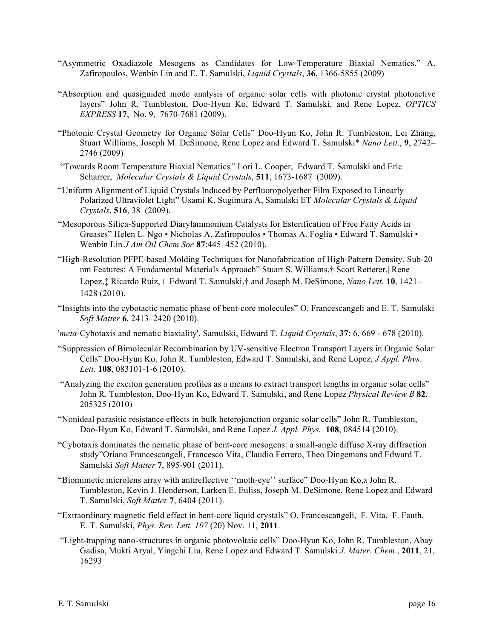- "Asymmetric Oxadiazole Mesogens as Candidates for Low-Temperature Biaxial Nematics." A. Zafiropoulos, Wenbin Lin and E. T. Samulski, *Liquid Crystals*, **36**, 1366-5855 (2009)
- "Absorption and quasiguided mode analysis of organic solar cells with photonic crystal photoactive layers" John R. Tumbleston, Doo-Hyun Ko, Edward T. Samulski, and Rene Lopez, *OPTICS EXPRESS* **17**, No. 9, 7670-7681 (2009).
- "Photonic Crystal Geometry for Organic Solar Cells" Doo-Hyun Ko, John R. Tumbleston, Lei Zhang, Stuart Williams, Joseph M. DeSimone, Rene Lopez and Edward T. Samulski\* *Nano Lett*., **9**, 2742– 2746 (2009)
- "Towards Room Temperature Biaxial Nematics*"* Lori L. Cooper, Edward T. Samulski and Eric Scharrer, *Molecular Crystals & Liquid Crystals*, **511**, 1673-1687 (2009).
- "Uniform Alignment of Liquid Crystals Induced by Perfluoropolyether Film Exposed to Linearly Polarized Ultraviolet Light" Usami K, Sugimura A, Samulski ET *Molecular Crystals & Liquid Crystals*, **516**, 38 (2009).
- "Mesoporous Silica-Supported Diarylammonium Catalysts for Esterification of Free Fatty Acids in Greases" Helen L. Ngo • Nicholas A. Zafiropoulos • Thomas A. Foglia • Edward T. Samulski • Wenbin Lin *J Am Oil Chem Soc* **87**:445–452 (2010).
- "High-Resolution PFPE-based Molding Techniques for Nanofabrication of High-Pattern Density, Sub-20 nm Features: A Fundamental Materials Approach" Stuart S. Williams,† Scott Retterer,| Rene Lopez,‡ Ricardo Ruiz,⊥ Edward T. Samulski,† and Joseph M. DeSimone, *Nano Lett.* **10**, 1421– 1428 (2010).
- "Insights into the cybotactic nematic phase of bent-core molecules" O. Francescangeli and E. T. Samulski *Soft Matter* **6**, 2413–2420 (2010).
- '*meta*-Cybotaxis and nematic biaxiality', Samulski, Edward T. *Liquid Crystals*, **37**: 6, 669 678 (2010).
- "Suppression of Bimolecular Recombination by UV-sensitive Electron Transport Layers in Organic Solar Cells" Doo-Hyun Ko, John R. Tumbleston, Edward T. Samulski, and Rene Lopez, *J Appl. Phys. Lett.* **108**, 083101-1-6 (2010).
- "Analyzing the exciton generation profiles as a means to extract transport lengths in organic solar cells" John R. Tumbleston, Doo-Hyun Ko, Edward T. Samulski, and Rene Lopez *Physical Review B* **82**, 205325 (2010)
- "Nonideal parasitic resistance effects in bulk heterojunction organic solar cells" John R. Tumbleston, Doo-Hyun Ko, Edward T. Samulski, and Rene Lopez *J. Appl. Phys.* **108**, 084514 (2010).
- "Cybotaxis dominates the nematic phase of bent-core mesogens: a small-angle diffuse X-ray diffraction study"Oriano Francescangeli, Francesco Vita, Claudio Ferrero, Theo Dingemans and Edward T. Samulski *Soft Matter* **7**, 895-901 (2011).
- "Biomimetic microlens array with antireflective ''moth-eye'' surface" Doo-Hyun Ko,a John R. Tumbleston, Kevin J. Henderson, Larken E. Euliss, Joseph M. DeSimone, Rene Lopez and Edward T. Samulski, *Soft Matter* **7**, 6404 (2011).
- "Extraordinary magnetic field effect in bent-core liquid crystals" O. Francescangeli, F. Vita, F. Fauth, E. T. Samulski, *Phys. Rev. Lett. 107* (20) Nov. 11, **2011**.
- "Light-trapping nano-structures in organic photovoltaic cells" Doo-Hyun Ko, John R. Tumbleston, Abay Gadisa, Mukti Aryal, Yingchi Liu, Rene Lopez and Edward T. Samulski *J. Mater. Chem*., **2011**, 21, 16293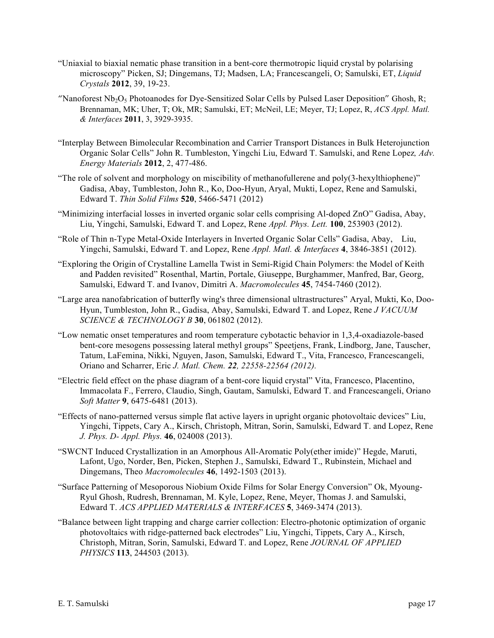- "Uniaxial to biaxial nematic phase transition in a bent-core thermotropic liquid crystal by polarising microscopy" Picken, SJ; Dingemans, TJ; Madsen, LA; Francescangeli, O; Samulski, ET, *Liquid Crystals* **2012**, 39, 19-23.
- "Nanoforest Nb<sub>2</sub>O<sub>5</sub> Photoanodes for Dye-Sensitized Solar Cells by Pulsed Laser Deposition" Ghosh, R; Brennaman, MK; Uher, T; Ok, MR; Samulski, ET; McNeil, LE; Meyer, TJ; Lopez, R, *ACS Appl. Matl. & Interfaces* **2011**, 3, 3929-3935.
- "Interplay Between Bimolecular Recombination and Carrier Transport Distances in Bulk Heterojunction Organic Solar Cells" John R. Tumbleston, Yingchi Liu, Edward T. Samulski, and Rene Lopez*, Adv. Energy Materials* **2012**, 2, 477-486.
- "The role of solvent and morphology on miscibility of methanofullerene and poly(3-hexylthiophene)" Gadisa, Abay, Tumbleston, John R., Ko, Doo-Hyun, Aryal, Mukti, Lopez, Rene and Samulski, Edward T. *Thin Solid Films* **520**, 5466-5471 (2012)
- "Minimizing interfacial losses in inverted organic solar cells comprising Al-doped ZnO" Gadisa, Abay, Liu, Yingchi, Samulski, Edward T. and Lopez, Rene *Appl. Phys. Lett.* **100**, 253903 (2012).
- "Role of Thin n-Type Metal-Oxide Interlayers in Inverted Organic Solar Cells" Gadisa, Abay, Liu, Yingchi, Samulski, Edward T. and Lopez, Rene *Appl. Matl. & Interfaces* **4**, 3846-3851 (2012).
- "Exploring the Origin of Crystalline Lamella Twist in Semi-Rigid Chain Polymers: the Model of Keith and Padden revisited" Rosenthal, Martin, Portale, Giuseppe, Burghammer, Manfred, Bar, Georg, Samulski, Edward T. and Ivanov, Dimitri A. *Macromolecules* **45**, 7454-7460 (2012).
- "Large area nanofabrication of butterfly wing's three dimensional ultrastructures" Aryal, Mukti, Ko, Doo-Hyun, Tumbleston, John R., Gadisa, Abay, Samulski, Edward T. and Lopez, Rene *J VACUUM SCIENCE & TECHNOLOGY B* **30**, 061802 (2012).
- "Low nematic onset temperatures and room temperature cybotactic behavior in 1,3,4-oxadiazole-based bent-core mesogens possessing lateral methyl groups" Speetjens, Frank, Lindborg, Jane, Tauscher, Tatum, LaFemina, Nikki, Nguyen, Jason, Samulski, Edward T., Vita, Francesco, Francescangeli, Oriano and Scharrer, Eric *J. Matl. Chem. 22, 22558-22564 (2012).*
- "Electric field effect on the phase diagram of a bent-core liquid crystal" Vita, Francesco, Placentino, Immacolata F., Ferrero, Claudio, Singh, Gautam, Samulski, Edward T. and Francescangeli, Oriano *Soft Matter* **9**, 6475-6481 (2013).
- "Effects of nano-patterned versus simple flat active layers in upright organic photovoltaic devices" Liu, Yingchi, Tippets, Cary A., Kirsch, Christoph, Mitran, Sorin, Samulski, Edward T. and Lopez, Rene *J. Phys. D- Appl. Phys.* **46**, 024008 (2013).
- "SWCNT Induced Crystallization in an Amorphous All-Aromatic Poly(ether imide)" Hegde, Maruti, Lafont, Ugo, Norder, Ben, Picken, Stephen J., Samulski, Edward T., Rubinstein, Michael and Dingemans, Theo *Macromolecules* **46**, 1492-1503 (2013).
- "Surface Patterning of Mesoporous Niobium Oxide Films for Solar Energy Conversion" Ok, Myoung-Ryul Ghosh, Rudresh, Brennaman, M. Kyle, Lopez, Rene, Meyer, Thomas J. and Samulski, Edward T. *ACS APPLIED MATERIALS & INTERFACES* **5**, 3469-3474 (2013).
- "Balance between light trapping and charge carrier collection: Electro-photonic optimization of organic photovoltaics with ridge-patterned back electrodes" Liu, Yingchi, Tippets, Cary A., Kirsch, Christoph, Mitran, Sorin, Samulski, Edward T. and Lopez, Rene *JOURNAL OF APPLIED PHYSICS* **113**, 244503 (2013).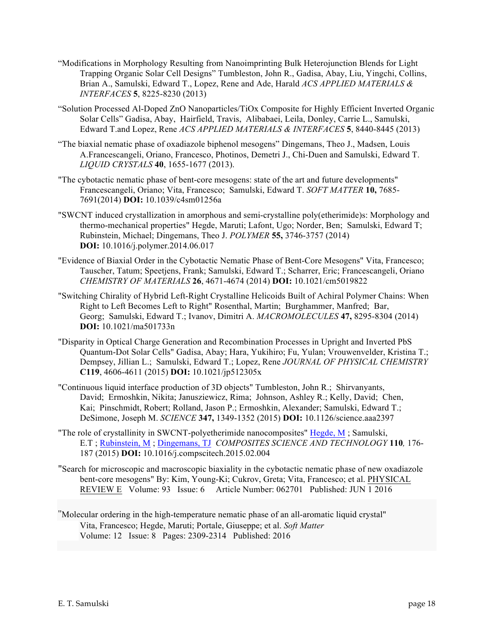- "Modifications in Morphology Resulting from Nanoimprinting Bulk Heterojunction Blends for Light Trapping Organic Solar Cell Designs" Tumbleston, John R., Gadisa, Abay, Liu, Yingchi, Collins, Brian A., Samulski, Edward T., Lopez, Rene and Ade, Harald *ACS APPLIED MATERIALS & INTERFACES* **5**, 8225-8230 (2013)
- "Solution Processed Al-Doped ZnO Nanoparticles/TiOx Composite for Highly Efficient Inverted Organic Solar Cells" Gadisa, Abay, Hairfield, Travis, Alibabaei, Leila, Donley, Carrie L., Samulski, Edward T.and Lopez, Rene *ACS APPLIED MATERIALS & INTERFACES* **5**, 8440-8445 (2013)
- "The biaxial nematic phase of oxadiazole biphenol mesogens" Dingemans, Theo J., Madsen, Louis A.Francescangeli, Oriano, Francesco, Photinos, Demetri J., Chi-Duen and Samulski, Edward T. *LIQUID CRYSTALS* **40**, 1655-1677 (2013).
- "The cybotactic nematic phase of bent-core mesogens: state of the art and future developments" Francescangeli, Oriano; Vita, Francesco; Samulski, Edward T. *SOFT MATTER* **10,** 7685- 7691(2014) **DOI:** 10.1039/c4sm01256a
- "SWCNT induced crystallization in amorphous and semi-crystalline poly(etherimide)s: Morphology and thermo-mechanical properties" Hegde, Maruti; Lafont, Ugo; Norder, Ben; Samulski, Edward T; Rubinstein, Michael; Dingemans, Theo J. *POLYMER* **55,** 3746-3757 (2014) **DOI:** 10.1016/j.polymer.2014.06.017
- "Evidence of Biaxial Order in the Cybotactic Nematic Phase of Bent-Core Mesogens" Vita, Francesco; Tauscher, Tatum; Speetjens, Frank; Samulski, Edward T.; Scharrer, Eric; Francescangeli, Oriano *CHEMISTRY OF MATERIALS* **26**, 4671-4674 (2014) **DOI:** 10.1021/cm5019822
- "Switching Chirality of Hybrid Left-Right Crystalline Helicoids Built of Achiral Polymer Chains: When Right to Left Becomes Left to Right" Rosenthal, Martin; Burghammer, Manfred; Bar, Georg; Samulski, Edward T.; Ivanov, Dimitri A. *MACROMOLECULES* **47,** 8295-8304 (2014) **DOI:** 10.1021/ma501733n
- "Disparity in Optical Charge Generation and Recombination Processes in Upright and Inverted PbS Quantum-Dot Solar Cells" Gadisa, Abay; Hara, Yukihiro; Fu, Yulan; Vrouwenvelder, Kristina T.; Dempsey, Jillian L.; Samulski, Edward T.; Lopez, Rene *JOURNAL OF PHYSICAL CHEMISTRY* **C119**, 4606-4611 (2015) **DOI:** 10.1021/jp512305x
- "Continuous liquid interface production of 3D objects" Tumbleston, John R.; Shirvanyants, David; Ermoshkin, Nikita; Janusziewicz, Rima; Johnson, Ashley R.; Kelly, David; Chen, Kai; Pinschmidt, Robert; Rolland, Jason P.; Ermoshkin, Alexander; Samulski, Edward T.; DeSimone, Joseph M. *SCIENCE* **347,** 1349-1352 (2015) **DOI:** 10.1126/science.aaa2397
- "The role of crystallinity in SWCNT-polyetherimide nanocomposites" Hegde, M ; Samulski, E.T ; Rubinstein, M ; Dingemans, TJ *COMPOSITES SCIENCE AND TECHNOLOGY* **110***,* 176- 187 (2015) **DOI:** 10.1016/j.compscitech.2015.02.004
- "Search for microscopic and macroscopic biaxiality in the cybotactic nematic phase of new oxadiazole bent-core mesogens" By: Kim, Young-Ki; Cukrov, Greta; Vita, Francesco; et al. PHYSICAL REVIEW E Volume: 93 Issue: 6 Article Number: 062701 Published: JUN 1 2016
- "Molecular ordering in the high-temperature nematic phase of an all-aromatic liquid crystal" Vita, Francesco; Hegde, Maruti; Portale, Giuseppe; et al. *Soft Matter* Volume: 12 Issue: 8 Pages: 2309-2314 Published: 2016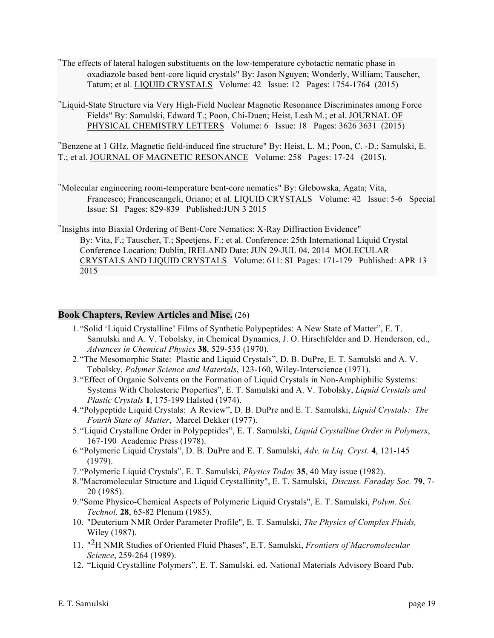- "The effects of lateral halogen substituents on the low-temperature cybotactic nematic phase in oxadiazole based bent-core liquid crystals" By: Jason Nguyen; Wonderly, William; Tauscher, Tatum; et al. LIQUID CRYSTALS Volume: 42 Issue: 12 Pages: 1754-1764 (2015)
- "Liquid-State Structure via Very High-Field Nuclear Magnetic Resonance Discriminates among Force Fields" By: Samulski, Edward T.; Poon, Chi-Duen; Heist, Leah M.; et al. JOURNAL OF PHYSICAL CHEMISTRY LETTERS Volume: 6 Issue: 18 Pages: 3626 3631 (2015)

"Benzene at 1 GHz. Magnetic field-induced fine structure" By: Heist, L. M.; Poon, C. -D.; Samulski, E. T.; et al. JOURNAL OF MAGNETIC RESONANCE Volume: 258 Pages: 17-24 (2015).

"Molecular engineering room-temperature bent-core nematics" By: Glebowska, Agata; Vita, Francesco; Francescangeli, Oriano; et al. LIQUID CRYSTALS Volume: 42 Issue: 5-6 Special Issue: SI Pages: 829-839 Published:JUN 3 2015

"Insights into Biaxial Ordering of Bent-Core Nematics: X-Ray Diffraction Evidence" By: Vita, F.; Tauscher, T.; Speetjens, F.; et al. Conference: 25th International Liquid Crystal Conference Location: Dublin, IRELAND Date: JUN 29-JUL 04, 2014 MOLECULAR CRYSTALS AND LIQUID CRYSTALS Volume: 611: SI Pages: 171-179 Published: APR 13 2015

#### **Book Chapters, Review Articles and Misc.** (26)

- 1."Solid 'Liquid Crystalline' Films of Synthetic Polypeptides: A New State of Matter", E. T. Samulski and A. V. Tobolsky, in Chemical Dynamics, J. O. Hirschfelder and D. Henderson, ed., *Advances in Chemical Physics* **38**, 529-535 (1970).
- 2."The Mesomorphic State: Plastic and Liquid Crystals", D. B. DuPre, E. T. Samulski and A. V. Tobolsky, *Polymer Science and Materials*, 123-160, Wiley-Interscience (1971).
- 3."Effect of Organic Solvents on the Formation of Liquid Crystals in Non-Amphiphilic Systems: Systems With Cholesteric Properties", E. T. Samulski and A. V. Tobolsky, *Liquid Crystals and Plastic Crystals* **1**, 175-199 Halsted (1974).
- 4."Polypeptide Liquid Crystals: A Review", D. B. DuPre and E. T. Samulski, *Liquid Crystals: The Fourth State of Matter*, Marcel Dekker (1977).
- 5."Liquid Crystalline Order in Polypeptides", E. T. Samulski, *Liquid Crystalline Order in Polymers*, 167-190 Academic Press (1978).
- 6."Polymeric Liquid Crystals", D. B. DuPre and E. T. Samulski, *Adv. in Liq. Cryst.* **4**, 121-145 (1979).
- 7."Polymeric Liquid Crystals", E. T. Samulski, *Physics Today* **35**, 40 May issue (1982).
- 8."Macromolecular Structure and Liquid Crystallinity", E. T. Samulski, *Discuss. Faraday Soc.* **79**, 7- 20 (1985).
- 9."Some Physico-Chemical Aspects of Polymeric Liquid Crystals", E. T. Samulski, *Polym. Sci. Technol.* **28**, 65-82 Plenum (1985).
- 10. "Deuterium NMR Order Parameter Profile", E. T. Samulski, *The Physics of Complex Fluids,* Wiley (1987).
- 11. "2H NMR Studies of Oriented Fluid Phases", E.T. Samulski, *Frontiers of Macromolecular Science*, 259-264 (1989).
- 12. "Liquid Crystalline Polymers", E. T. Samulski, ed. National Materials Advisory Board Pub.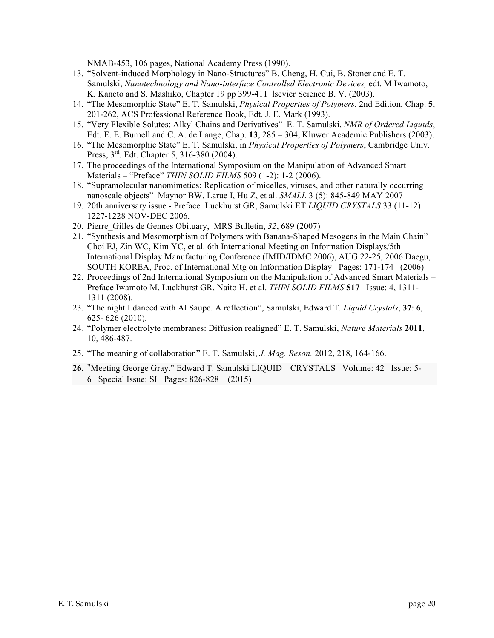NMAB-453, 106 pages, National Academy Press (1990).

- 13. "Solvent-induced Morphology in Nano-Structures" B. Cheng, H. Cui, B. Stoner and E. T. Samulski, *Nanotechnology and Nano-interface Controlled Electronic Devices,* edt. M Iwamoto, K. Kaneto and S. Mashiko, Chapter 19 pp 399-411 lsevier Science B. V. (2003).
- 14. "The Mesomorphic State" E. T. Samulski, *Physical Properties of Polymers*, 2nd Edition, Chap. **5**, 201-262, ACS Professional Reference Book, Edt. J. E. Mark (1993).
- 15. "Very Flexible Solutes: Alkyl Chains and Derivatives" E. T. Samulski, *NMR of Ordered Liquids*, Edt. E. E. Burnell and C. A. de Lange, Chap. **13**, 285 – 304, Kluwer Academic Publishers (2003).
- 16. "The Mesomorphic State" E. T. Samulski, in *Physical Properties of Polymers*, Cambridge Univ. Press, 3<sup>rd</sup>. Edt. Chapter 5, 316-380 (2004).
- 17. The proceedings of the International Symposium on the Manipulation of Advanced Smart Materials – "Preface" *THIN SOLID FILMS* 509 (1-2): 1-2 (2006).
- 18. "Supramolecular nanomimetics: Replication of micelles, viruses, and other naturally occurring nanoscale objects" Maynor BW, Larue I, Hu Z, et al. *SMALL* 3 (5): 845-849 MAY 2007
- 19. 20th anniversary issue Preface Luckhurst GR, Samulski ET *LIQUID CRYSTALS* 33 (11-12): 1227-1228 NOV-DEC 2006.
- 20. Pierre\_Gilles de Gennes Obituary, MRS Bulletin, *32*, 689 (2007)
- 21. "Synthesis and Mesomorphism of Polymers with Banana-Shaped Mesogens in the Main Chain" Choi EJ, Zin WC, Kim YC, et al. 6th International Meeting on Information Displays/5th International Display Manufacturing Conference (IMID/IDMC 2006), AUG 22-25, 2006 Daegu, SOUTH KOREA, Proc. of International Mtg on Information Display Pages: 171-174 (2006)
- 22. Proceedings of 2nd International Symposium on the Manipulation of Advanced Smart Materials Preface Iwamoto M, Luckhurst GR, Naito H, et al. *THIN SOLID FILMS* **517** Issue: 4, 1311- 1311 (2008).
- 23. "The night I danced with Al Saupe. A reflection", Samulski, Edward T. *Liquid Crystals*, **37**: 6, 625- 626 (2010).
- 24. "Polymer electrolyte membranes: Diffusion realigned" E. T. Samulski, *Nature Materials* **2011**, 10, 486-487.
- 25. "The meaning of collaboration" E. T. Samulski, *J. Mag. Reson.* 2012, 218, 164-166.
- **26.** "Meeting George Gray." Edward T. Samulski LIQUID CRYSTALS Volume: 42 Issue: 5- 6 Special Issue: SI Pages: 826-828 (2015)